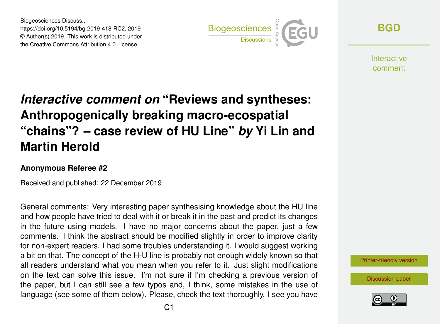Biogeosciences Discuss., https://doi.org/10.5194/bg-2019-418-RC2, 2019 © Author(s) 2019. This work is distributed under the Creative Commons Attribution 4.0 License.



**[BGD](https://www.biogeosciences-discuss.net/)**

**Interactive** comment

## *Interactive comment on* **"Reviews and syntheses: Anthropogenically breaking macro-ecospatial "chains"? – case review of HU Line"** *by* **Yi Lin and Martin Herold**

## **Anonymous Referee #2**

Received and published: 22 December 2019

General comments: Very interesting paper synthesising knowledge about the HU line and how people have tried to deal with it or break it in the past and predict its changes in the future using models. I have no major concerns about the paper, just a few comments. I think the abstract should be modified slightly in order to improve clarity for non-expert readers. I had some troubles understanding it. I would suggest working a bit on that. The concept of the H-U line is probably not enough widely known so that all readers understand what you mean when you refer to it. Just slight modifications on the text can solve this issue. I'm not sure if I'm checking a previous version of the paper, but I can still see a few typos and, I think, some mistakes in the use of language (see some of them below). Please, check the text thoroughly. I see you have

[Printer-friendly version](https://www.biogeosciences-discuss.net/bg-2019-418/bg-2019-418-RC2-print.pdf)

[Discussion paper](https://www.biogeosciences-discuss.net/bg-2019-418)

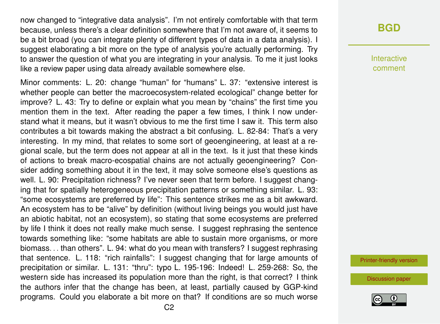now changed to "integrative data analysis". I'm not entirely comfortable with that term because, unless there's a clear definition somewhere that I'm not aware of, it seems to be a bit broad (you can integrate plenty of different types of data in a data analysis). I suggest elaborating a bit more on the type of analysis you're actually performing. Try to answer the question of what you are integrating in your analysis. To me it just looks like a review paper using data already available somewhere else.

Minor comments: L. 20: change "human" for "humans" L. 37: "extensive interest is whether people can better the macroecosystem-related ecological" change better for improve? L. 43: Try to define or explain what you mean by "chains" the first time you mention them in the text. After reading the paper a few times, I think I now understand what it means, but it wasn't obvious to me the first time I saw it. This term also contributes a bit towards making the abstract a bit confusing. L. 82-84: That's a very interesting. In my mind, that relates to some sort of geoengineering, at least at a regional scale, but the term does not appear at all in the text. Is it just that these kinds of actions to break macro-ecospatial chains are not actually geoengineering? Consider adding something about it in the text, it may solve someone else's questions as well. L. 90: Precipitation richness? I've never seen that term before. I suggest changing that for spatially heterogeneous precipitation patterns or something similar. L. 93: "some ecosystems are preferred by life": This sentence strikes me as a bit awkward. An ecosystem has to be "alive" by definition (without living beings you would just have an abiotic habitat, not an ecosystem), so stating that some ecosystems are preferred by life I think it does not really make much sense. I suggest rephrasing the sentence towards something like: "some habitats are able to sustain more organisms, or more biomass. . . than others". L. 94: what do you mean with transfers? I suggest rephrasing that sentence. L. 118: "rich rainfalls": I suggest changing that for large amounts of precipitation or similar. L. 131: "thru": typo L. 195-196: Indeed! L. 259-268: So, the western side has increased its population more than the right, is that correct? I think the authors infer that the change has been, at least, partially caused by GGP-kind programs. Could you elaborate a bit more on that? If conditions are so much worse

## **[BGD](https://www.biogeosciences-discuss.net/)**

Interactive comment

[Printer-friendly version](https://www.biogeosciences-discuss.net/bg-2019-418/bg-2019-418-RC2-print.pdf)

[Discussion paper](https://www.biogeosciences-discuss.net/bg-2019-418)